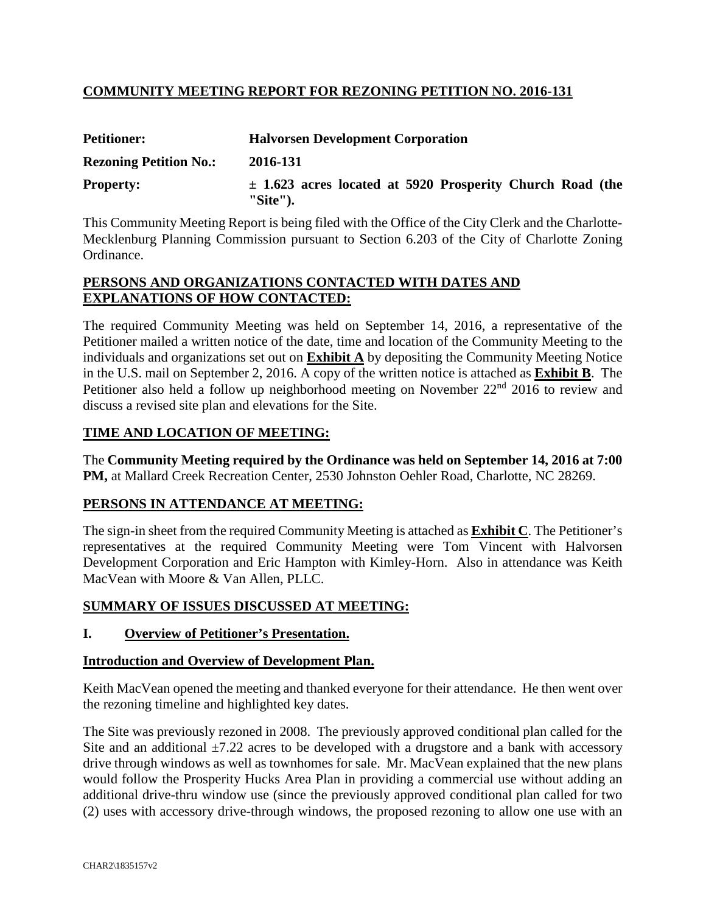## **COMMUNITY MEETING REPORT FOR REZONING PETITION NO. 2016-131**

| <b>Petitioner:</b>            | <b>Halvorsen Development Corporation</b>                                     |  |  |  |  |
|-------------------------------|------------------------------------------------------------------------------|--|--|--|--|
| <b>Rezoning Petition No.:</b> | 2016-131                                                                     |  |  |  |  |
| <b>Property:</b>              | $\pm$ 1.623 acres located at 5920 Prosperity Church Road (the<br>$"Site"$ ). |  |  |  |  |

This Community Meeting Report is being filed with the Office of the City Clerk and the Charlotte-Mecklenburg Planning Commission pursuant to Section 6.203 of the City of Charlotte Zoning Ordinance.

#### **PERSONS AND ORGANIZATIONS CONTACTED WITH DATES AND EXPLANATIONS OF HOW CONTACTED:**

The required Community Meeting was held on September 14, 2016, a representative of the Petitioner mailed a written notice of the date, time and location of the Community Meeting to the individuals and organizations set out on **Exhibit A** by depositing the Community Meeting Notice in the U.S. mail on September 2, 2016. A copy of the written notice is attached as **Exhibit B**. The Petitioner also held a follow up neighborhood meeting on November 22<sup>nd</sup> 2016 to review and discuss a revised site plan and elevations for the Site.

## **TIME AND LOCATION OF MEETING:**

The **Community Meeting required by the Ordinance was held on September 14, 2016 at 7:00 PM,** at Mallard Creek Recreation Center, 2530 Johnston Oehler Road, Charlotte, NC 28269.

## **PERSONS IN ATTENDANCE AT MEETING:**

The sign-in sheet from the required Community Meeting is attached as **Exhibit C**. The Petitioner's representatives at the required Community Meeting were Tom Vincent with Halvorsen Development Corporation and Eric Hampton with Kimley-Horn. Also in attendance was Keith MacVean with Moore & Van Allen, PLLC.

## **SUMMARY OF ISSUES DISCUSSED AT MEETING:**

## **I. Overview of Petitioner's Presentation.**

#### **Introduction and Overview of Development Plan.**

Keith MacVean opened the meeting and thanked everyone for their attendance. He then went over the rezoning timeline and highlighted key dates.

The Site was previously rezoned in 2008. The previously approved conditional plan called for the Site and an additional  $\pm$ 7.22 acres to be developed with a drugstore and a bank with accessory drive through windows as well as townhomes for sale. Mr. MacVean explained that the new plans would follow the Prosperity Hucks Area Plan in providing a commercial use without adding an additional drive-thru window use (since the previously approved conditional plan called for two (2) uses with accessory drive-through windows, the proposed rezoning to allow one use with an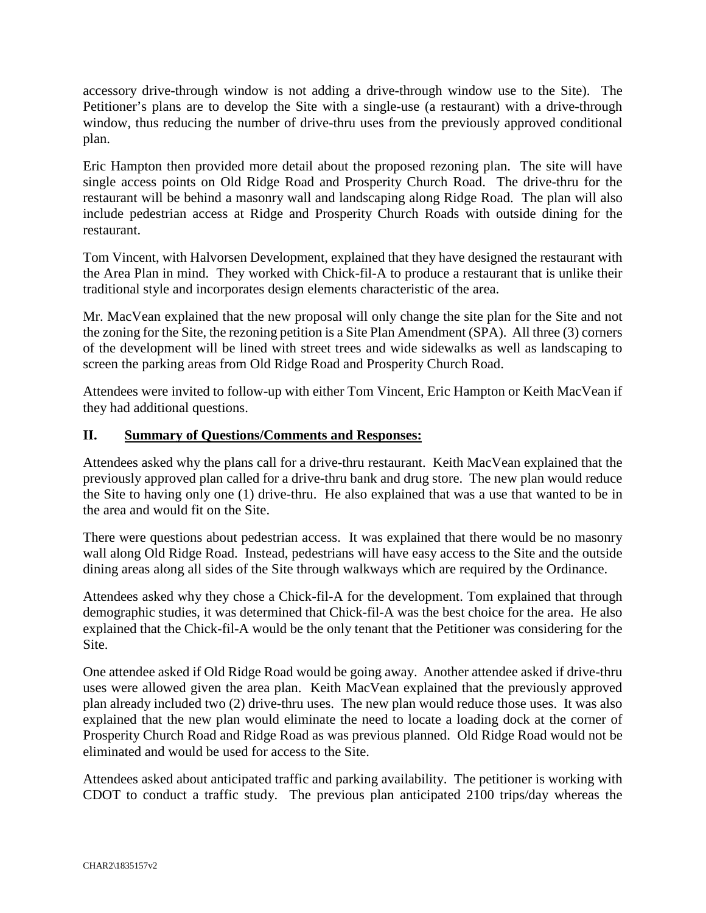accessory drive-through window is not adding a drive-through window use to the Site). The Petitioner's plans are to develop the Site with a single-use (a restaurant) with a drive-through window, thus reducing the number of drive-thru uses from the previously approved conditional plan.

Eric Hampton then provided more detail about the proposed rezoning plan. The site will have single access points on Old Ridge Road and Prosperity Church Road. The drive-thru for the restaurant will be behind a masonry wall and landscaping along Ridge Road. The plan will also include pedestrian access at Ridge and Prosperity Church Roads with outside dining for the restaurant.

Tom Vincent, with Halvorsen Development, explained that they have designed the restaurant with the Area Plan in mind. They worked with Chick-fil-A to produce a restaurant that is unlike their traditional style and incorporates design elements characteristic of the area.

Mr. MacVean explained that the new proposal will only change the site plan for the Site and not the zoning for the Site, the rezoning petition is a Site Plan Amendment (SPA). All three (3) corners of the development will be lined with street trees and wide sidewalks as well as landscaping to screen the parking areas from Old Ridge Road and Prosperity Church Road.

Attendees were invited to follow-up with either Tom Vincent, Eric Hampton or Keith MacVean if they had additional questions.

## **II. Summary of Questions/Comments and Responses:**

Attendees asked why the plans call for a drive-thru restaurant. Keith MacVean explained that the previously approved plan called for a drive-thru bank and drug store. The new plan would reduce the Site to having only one (1) drive-thru. He also explained that was a use that wanted to be in the area and would fit on the Site.

There were questions about pedestrian access. It was explained that there would be no masonry wall along Old Ridge Road. Instead, pedestrians will have easy access to the Site and the outside dining areas along all sides of the Site through walkways which are required by the Ordinance.

Attendees asked why they chose a Chick-fil-A for the development. Tom explained that through demographic studies, it was determined that Chick-fil-A was the best choice for the area. He also explained that the Chick-fil-A would be the only tenant that the Petitioner was considering for the Site.

One attendee asked if Old Ridge Road would be going away. Another attendee asked if drive-thru uses were allowed given the area plan. Keith MacVean explained that the previously approved plan already included two (2) drive-thru uses. The new plan would reduce those uses. It was also explained that the new plan would eliminate the need to locate a loading dock at the corner of Prosperity Church Road and Ridge Road as was previous planned. Old Ridge Road would not be eliminated and would be used for access to the Site.

Attendees asked about anticipated traffic and parking availability. The petitioner is working with CDOT to conduct a traffic study. The previous plan anticipated 2100 trips/day whereas the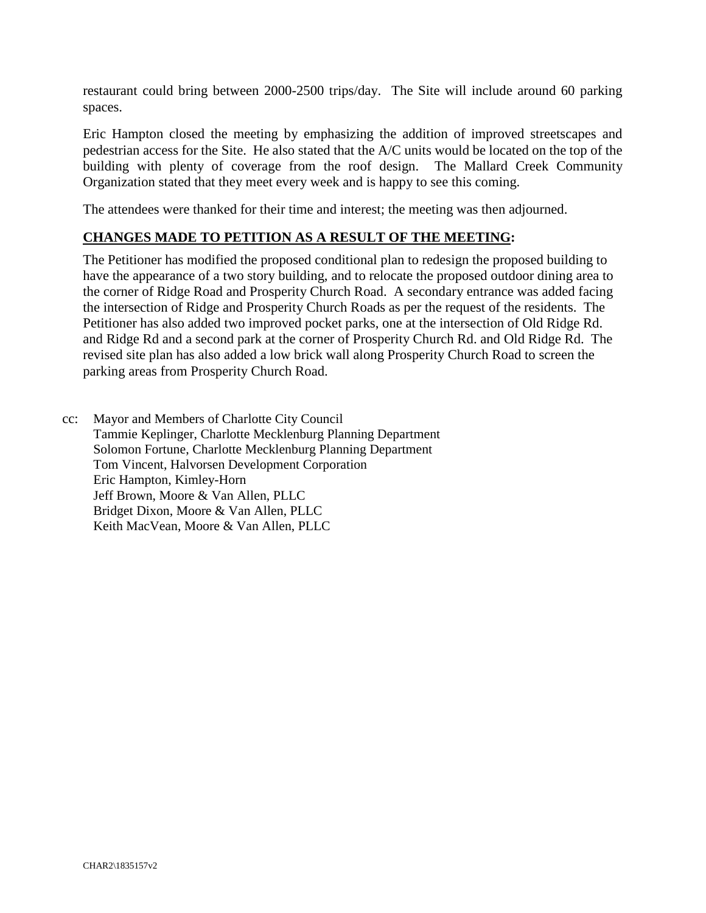restaurant could bring between 2000-2500 trips/day. The Site will include around 60 parking spaces.

Eric Hampton closed the meeting by emphasizing the addition of improved streetscapes and pedestrian access for the Site. He also stated that the A/C units would be located on the top of the building with plenty of coverage from the roof design. The Mallard Creek Community Organization stated that they meet every week and is happy to see this coming.

The attendees were thanked for their time and interest; the meeting was then adjourned.

#### **CHANGES MADE TO PETITION AS A RESULT OF THE MEETING:**

The Petitioner has modified the proposed conditional plan to redesign the proposed building to have the appearance of a two story building, and to relocate the proposed outdoor dining area to the corner of Ridge Road and Prosperity Church Road. A secondary entrance was added facing the intersection of Ridge and Prosperity Church Roads as per the request of the residents. The Petitioner has also added two improved pocket parks, one at the intersection of Old Ridge Rd. and Ridge Rd and a second park at the corner of Prosperity Church Rd. and Old Ridge Rd. The revised site plan has also added a low brick wall along Prosperity Church Road to screen the parking areas from Prosperity Church Road.

cc: Mayor and Members of Charlotte City Council Tammie Keplinger, Charlotte Mecklenburg Planning Department Solomon Fortune, Charlotte Mecklenburg Planning Department Tom Vincent, Halvorsen Development Corporation Eric Hampton, Kimley-Horn Jeff Brown, Moore & Van Allen, PLLC Bridget Dixon, Moore & Van Allen, PLLC Keith MacVean, Moore & Van Allen, PLLC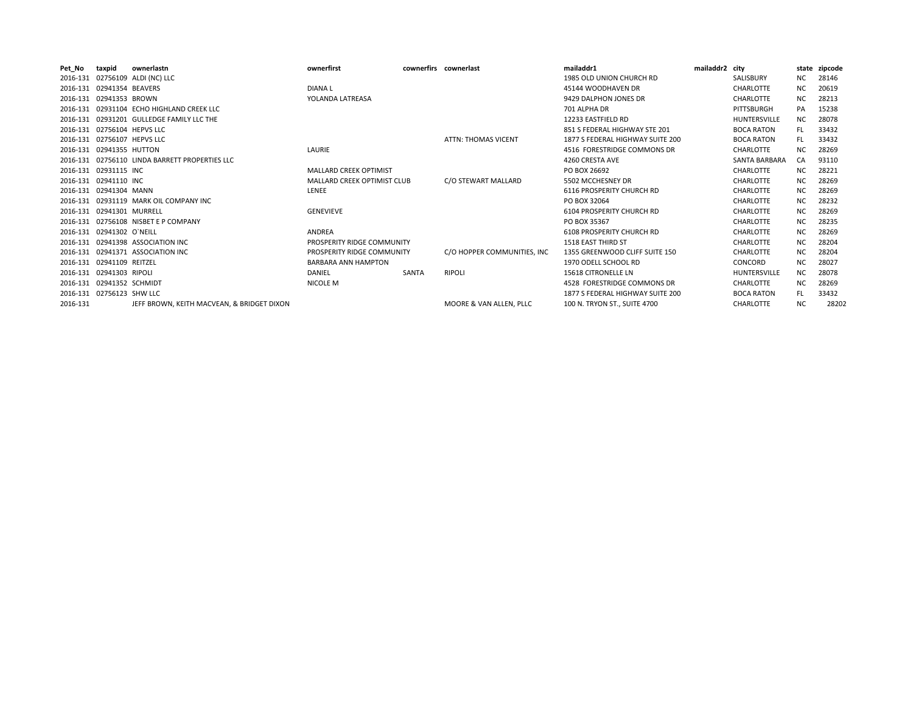| Pet_No   | taxpid                      | ownerlastn                                     | ownerfirst                    |       | cownerfirs cownerlast       | mailaddr1                        | mailaddr2 city |                   |           | state zipcode |
|----------|-----------------------------|------------------------------------------------|-------------------------------|-------|-----------------------------|----------------------------------|----------------|-------------------|-----------|---------------|
|          |                             | 2016-131 02756109 ALDI (NC) LLC                |                               |       |                             | 1985 OLD UNION CHURCH RD         |                | SALISBURY         | NC.       | 28146         |
|          | 2016-131 02941354 BEAVERS   |                                                | <b>DIANAL</b>                 |       |                             | 45144 WOODHAVEN DR               |                | <b>CHARLOTTE</b>  | <b>NC</b> | 20619         |
|          | 2016-131 02941353 BROWN     |                                                | YOLANDA LATREASA              |       |                             | 9429 DALPHON JONES DR            |                | <b>CHARLOTTE</b>  | <b>NC</b> | 28213         |
|          |                             | 2016-131 02931104 ECHO HIGHLAND CREEK LLC      |                               |       |                             | 701 ALPHA DR                     |                | PITTSBURGH        | PA        | 15238         |
|          |                             | 2016-131 02931201 GULLEDGE FAMILY LLC THE      |                               |       |                             | 12233 EASTFIELD RD               |                | HUNTERSVILLE      | <b>NC</b> | 28078         |
|          | 2016-131 02756104 HEPVS LLC |                                                |                               |       |                             | 851 S FEDERAL HIGHWAY STE 201    |                | <b>BOCA RATON</b> | FL.       | 33432         |
|          | 2016-131 02756107 HEPVS LLC |                                                |                               |       | <b>ATTN: THOMAS VICENT</b>  | 1877 S FEDERAL HIGHWAY SUITE 200 |                | <b>BOCA RATON</b> | FL.       | 33432         |
|          | 2016-131 02941355 HUTTON    |                                                | LAURIE                        |       |                             | 4516 FORESTRIDGE COMMONS DR      |                | CHARLOTTE         | <b>NC</b> | 28269         |
|          |                             | 2016-131 02756110 LINDA BARRETT PROPERTIES LLC |                               |       |                             | 4260 CRESTA AVE                  |                | SANTA BARBARA     | CA        | 93110         |
|          | 2016-131 02931115 INC       |                                                | <b>MALLARD CREEK OPTIMIST</b> |       |                             | PO BOX 26692                     |                | <b>CHARLOTTE</b>  | NC        | 28221         |
|          | 2016-131 02941110 INC       |                                                | MALLARD CREEK OPTIMIST CLUB   |       | C/O STEWART MALLARD         | 5502 MCCHESNEY DR                |                | <b>CHARLOTTE</b>  | NC.       | 28269         |
|          | 2016-131 02941304 MANN      |                                                | LENEE                         |       |                             | 6116 PROSPERITY CHURCH RD        |                | <b>CHARLOTTE</b>  | <b>NC</b> | 28269         |
|          |                             | 2016-131 02931119 MARK OIL COMPANY INC         |                               |       |                             | PO BOX 32064                     |                | <b>CHARLOTTE</b>  | <b>NC</b> | 28232         |
|          | 2016-131 02941301 MURRELL   |                                                | <b>GENEVIEVE</b>              |       |                             | 6104 PROSPERITY CHURCH RD        |                | CHARLOTTE         | <b>NC</b> | 28269         |
|          |                             | 2016-131 02756108 NISBET E P COMPANY           |                               |       |                             | PO BOX 35367                     |                | CHARLOTTE         | <b>NC</b> | 28235         |
|          | 2016-131 02941302 O'NEILL   |                                                | ANDREA                        |       |                             | <b>6108 PROSPERITY CHURCH RD</b> |                | <b>CHARLOTTE</b>  | NC.       | 28269         |
|          |                             | 2016-131 02941398 ASSOCIATION INC              | PROSPERITY RIDGE COMMUNITY    |       |                             | <b>1518 EAST THIRD ST</b>        |                | CHARLOTTE         | <b>NC</b> | 28204         |
|          |                             | 2016-131 02941371 ASSOCIATION INC              | PROSPERITY RIDGE COMMUNITY    |       | C/O HOPPER COMMUNITIES. INC | 1355 GREENWOOD CLIFF SUITE 150   |                | <b>CHARLOTTE</b>  | <b>NC</b> | 28204         |
|          | 2016-131 02941109 REITZEL   |                                                | <b>BARBARA ANN HAMPTON</b>    |       |                             | 1970 ODELL SCHOOL RD             |                | CONCORD           | <b>NC</b> | 28027         |
|          | 2016-131 02941303 RIPOLI    |                                                | DANIEL                        | SANTA | <b>RIPOLI</b>               | 15618 CITRONELLE LN              |                | HUNTERSVILLE      | <b>NC</b> | 28078         |
|          | 2016-131 02941352 SCHMIDT   |                                                | NICOLE M                      |       |                             | 4528 FORESTRIDGE COMMONS DR      |                | <b>CHARLOTTE</b>  | <b>NC</b> | 28269         |
|          | 2016-131 02756123 SHW LLC   |                                                |                               |       |                             | 1877 S FEDERAL HIGHWAY SUITE 200 |                | <b>BOCA RATON</b> | FL.       | 33432         |
| 2016-131 |                             | JEFF BROWN, KEITH MACVEAN, & BRIDGET DIXON     |                               |       | MOORE & VAN ALLEN. PLLC     | 100 N. TRYON ST., SUITE 4700     |                | <b>CHARLOTTE</b>  | <b>NC</b> | 28202         |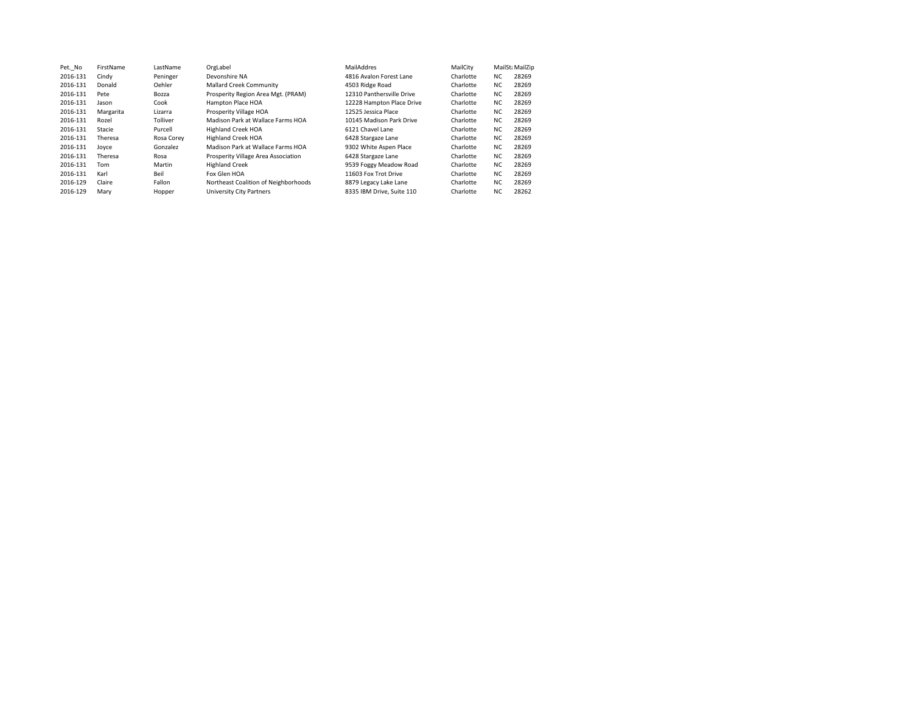| Pet. No  | FirstName | LastName   | OrgLabel                             | MailAddres                | MailCity  | MailSt: MailZip |       |
|----------|-----------|------------|--------------------------------------|---------------------------|-----------|-----------------|-------|
| 2016-131 | Cindy     | Peninger   | Devonshire NA                        | 4816 Avalon Forest Lane   | Charlotte | NC.             | 28269 |
| 2016-131 | Donald    | Oehler     | <b>Mallard Creek Community</b>       | 4503 Ridge Road           | Charlotte | <b>NC</b>       | 28269 |
| 2016-131 | Pete      | Bozza      | Prosperity Region Area Mgt. (PRAM)   | 12310 Panthersville Drive | Charlotte | NC.             | 28269 |
| 2016-131 | Jason     | Cook       | Hampton Place HOA                    | 12228 Hampton Place Drive | Charlotte | <b>NC</b>       | 28269 |
| 2016-131 | Margarita | Lizarra    | Prosperity Village HOA               | 12525 Jessica Place       | Charlotte | NC.             | 28269 |
| 2016-131 | Rozel     | Tolliver   | Madison Park at Wallace Farms HOA    | 10145 Madison Park Drive  | Charlotte | <b>NC</b>       | 28269 |
| 2016-131 | Stacie    | Purcell    | <b>Highland Creek HOA</b>            | 6121 Chavel Lane          | Charlotte | NC.             | 28269 |
| 2016-131 | Theresa   | Rosa Corev | <b>Highland Creek HOA</b>            | 6428 Stargaze Lane        | Charlotte | NC.             | 28269 |
| 2016-131 | Jovce     | Gonzalez   | Madison Park at Wallace Farms HOA    | 9302 White Aspen Place    | Charlotte | NC.             | 28269 |
| 2016-131 | Theresa   | Rosa       | Prosperity Village Area Association  | 6428 Stargaze Lane        | Charlotte | NC.             | 28269 |
| 2016-131 | Tom       | Martin     | <b>Highland Creek</b>                | 9539 Foggy Meadow Road    | Charlotte | NC.             | 28269 |
| 2016-131 | Karl      | Beil       | Fox Glen HOA                         | 11603 Fox Trot Drive      | Charlotte | NC.             | 28269 |
| 2016-129 | Claire    | Fallon     | Northeast Coalition of Neighborhoods | 8879 Legacy Lake Lane     | Charlotte | NC.             | 28269 |
| 2016-129 | Mary      | Hopper     | University City Partners             | 8335 IBM Drive, Suite 110 | Charlotte | <b>NC</b>       | 28262 |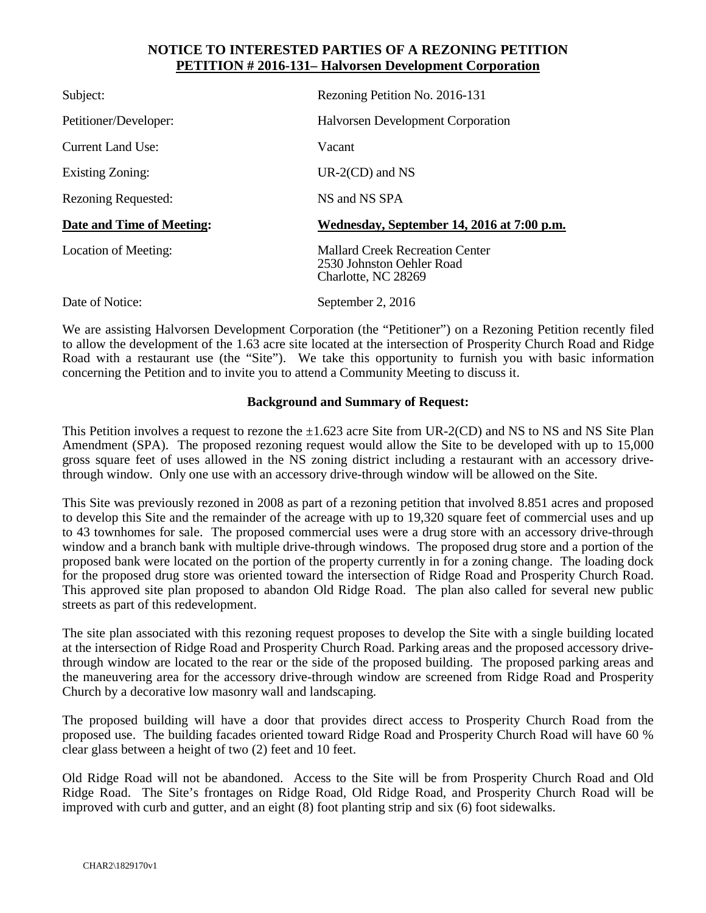#### **NOTICE TO INTERESTED PARTIES OF A REZONING PETITION PETITION # 2016-131– Halvorsen Development Corporation**

| Subject:                   | Rezoning Petition No. 2016-131                                                             |
|----------------------------|--------------------------------------------------------------------------------------------|
| Petitioner/Developer:      | <b>Halvorsen Development Corporation</b>                                                   |
| <b>Current Land Use:</b>   | Vacant                                                                                     |
| Existing Zoning:           | $UR-2(CD)$ and NS                                                                          |
| <b>Rezoning Requested:</b> | NS and NS SPA                                                                              |
|                            |                                                                                            |
| Date and Time of Meeting:  | Wednesday, September 14, 2016 at 7:00 p.m.                                                 |
| Location of Meeting:       | <b>Mallard Creek Recreation Center</b><br>2530 Johnston Oehler Road<br>Charlotte, NC 28269 |

We are assisting Halvorsen Development Corporation (the "Petitioner") on a Rezoning Petition recently filed to allow the development of the 1.63 acre site located at the intersection of Prosperity Church Road and Ridge Road with a restaurant use (the "Site"). We take this opportunity to furnish you with basic information concerning the Petition and to invite you to attend a Community Meeting to discuss it.

#### **Background and Summary of Request:**

This Petition involves a request to rezone the  $\pm 1.623$  acre Site from UR-2(CD) and NS to NS and NS Site Plan Amendment (SPA). The proposed rezoning request would allow the Site to be developed with up to 15,000 gross square feet of uses allowed in the NS zoning district including a restaurant with an accessory drivethrough window. Only one use with an accessory drive-through window will be allowed on the Site.

This Site was previously rezoned in 2008 as part of a rezoning petition that involved 8.851 acres and proposed to develop this Site and the remainder of the acreage with up to 19,320 square feet of commercial uses and up to 43 townhomes for sale. The proposed commercial uses were a drug store with an accessory drive-through window and a branch bank with multiple drive-through windows. The proposed drug store and a portion of the proposed bank were located on the portion of the property currently in for a zoning change. The loading dock for the proposed drug store was oriented toward the intersection of Ridge Road and Prosperity Church Road. This approved site plan proposed to abandon Old Ridge Road. The plan also called for several new public streets as part of this redevelopment.

The site plan associated with this rezoning request proposes to develop the Site with a single building located at the intersection of Ridge Road and Prosperity Church Road. Parking areas and the proposed accessory drivethrough window are located to the rear or the side of the proposed building. The proposed parking areas and the maneuvering area for the accessory drive-through window are screened from Ridge Road and Prosperity Church by a decorative low masonry wall and landscaping.

The proposed building will have a door that provides direct access to Prosperity Church Road from the proposed use. The building facades oriented toward Ridge Road and Prosperity Church Road will have 60 % clear glass between a height of two (2) feet and 10 feet.

Old Ridge Road will not be abandoned. Access to the Site will be from Prosperity Church Road and Old Ridge Road. The Site's frontages on Ridge Road, Old Ridge Road, and Prosperity Church Road will be improved with curb and gutter, and an eight (8) foot planting strip and six (6) foot sidewalks.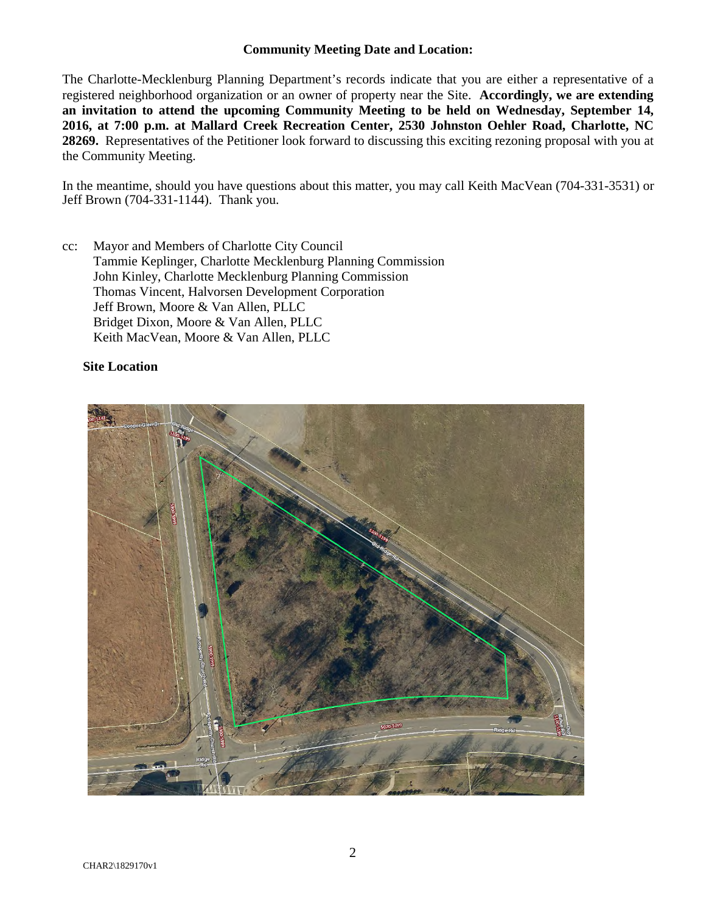#### **Community Meeting Date and Location:**

The Charlotte-Mecklenburg Planning Department's records indicate that you are either a representative of a registered neighborhood organization or an owner of property near the Site. **Accordingly, we are extending an invitation to attend the upcoming Community Meeting to be held on Wednesday, September 14, 2016, at 7:00 p.m. at Mallard Creek Recreation Center, 2530 Johnston Oehler Road, Charlotte, NC 28269.** Representatives of the Petitioner look forward to discussing this exciting rezoning proposal with you at the Community Meeting.

In the meantime, should you have questions about this matter, you may call Keith MacVean (704-331-3531) or Jeff Brown (704-331-1144). Thank you.

cc: Mayor and Members of Charlotte City Council Tammie Keplinger, Charlotte Mecklenburg Planning Commission John Kinley, Charlotte Mecklenburg Planning Commission Thomas Vincent, Halvorsen Development Corporation Jeff Brown, Moore & Van Allen, PLLC Bridget Dixon, Moore & Van Allen, PLLC Keith MacVean, Moore & Van Allen, PLLC

#### **Site Location**

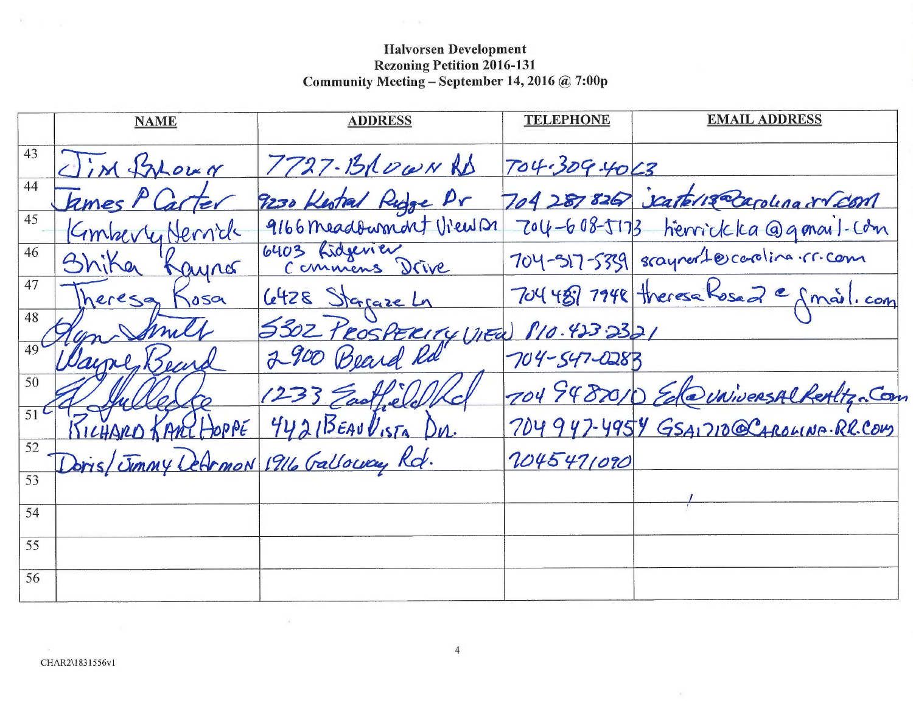# **Halvorsen Development** Rezoning Petition 2016-131<br>Community Meeting – September 14, 2016 @ 7:00p

 $\mathcal{H}^{\text{max}}$  . Also

|             | <b>NAME</b>                           | <b>ADDRESS</b>                    | <b>TELEPHONE</b>  | <b>EMAIL ADDRESS</b>                     |
|-------------|---------------------------------------|-----------------------------------|-------------------|------------------------------------------|
| 43          | Clim Sylowy                           | 7727-13ROWNRD                     | 704.309.4063      |                                          |
| 44          | kmes $Pl$                             | 9230 Kestral Ridge Pr             |                   | 704 287 826 Scatch & Regulara 8 Com      |
| 45          | Nernde<br>Kimberty                    | 9166 meadowment View D1           | $704 - 608 - 173$ | henrickka @gmail-com                     |
| 46          | Bhika<br>Raynes                       | 6403 Lidgevier<br>Commens Drive   |                   | 704-517-5339 scayner to cooling . r.com  |
| 47          | heresa<br>050                         | <u>6428 Stagaze Ln</u>            |                   | 704 489 7948 theresa Rosa 2 e anail. com |
| 48          |                                       | 5302 PROSPERITY (NEW 810.423.2321 |                   |                                          |
|             |                                       | 2900 Beard Rd                     | 704-547-0283      |                                          |
| 50          |                                       | 1233 Eastlele                     |                   | 704 9482010 EdwwwersAlkertiz. Com        |
| $51^{\sim}$ | JOPPE                                 | 4421BEAUVISTA Du.                 |                   | 704947-4954 GSAIZIO@CAROLINA.RR.COM      |
| 52          | Doris/Jimmy DeArmon 1916 Galloway Rd. |                                   | 2045471090        |                                          |
| 53          |                                       |                                   |                   |                                          |
| 54          |                                       |                                   |                   |                                          |
| 55          |                                       |                                   |                   |                                          |
| 56          |                                       |                                   |                   |                                          |

 $\sim$ 

 $\mathbf{v}_1$ 

 $\sim 100$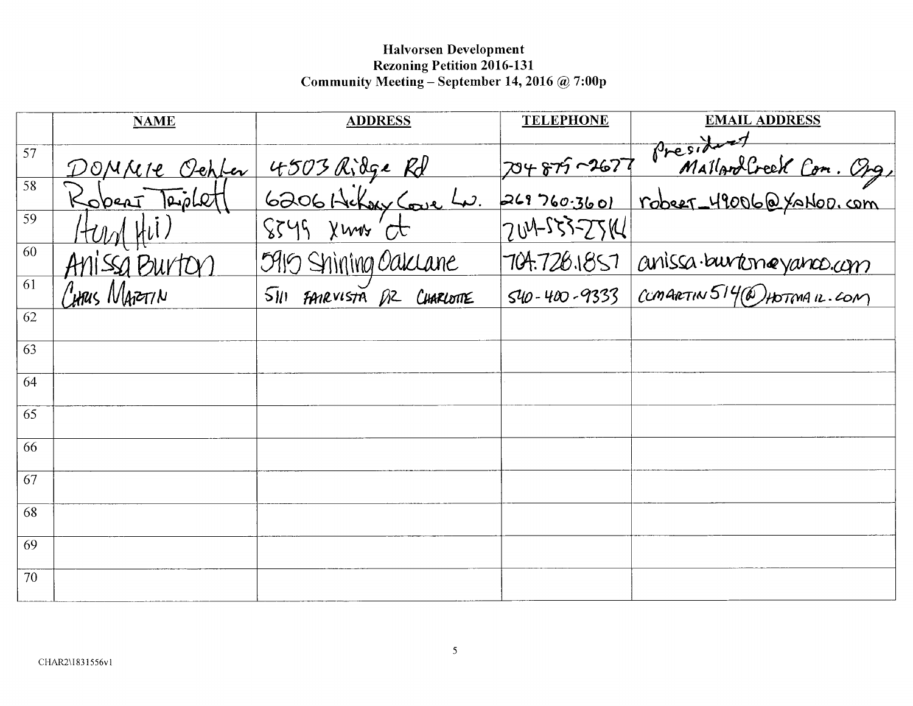# Halvorsen Development Rezoning Petition 2016-131<br>Community Meeting – September 14, 2016 @ 7:00p

|    | <b>NAME</b>   | <b>ADDRESS</b>                                                              | <b>TELEPHONE</b>   | <b>EMAIL ADDRESS</b>                                          |
|----|---------------|-----------------------------------------------------------------------------|--------------------|---------------------------------------------------------------|
| 57 |               |                                                                             |                    |                                                               |
|    |               | 4503 Ridge Rd                                                               | 704875-2677        |                                                               |
| 58 | DOMAIR Cepter |                                                                             | 269760.3601        | President<br>MallandCreek Con. Org.<br>robert_49006@YaNoD.com |
| 59 | Hung Hil)     | <u>6206 Hilbery Coure Lu.</u><br>8549 Xuns et                               | 704-553-2514       |                                                               |
| 60 | Anissa Burton | 5915 Shining Oaklane                                                        | 704.728.1857       | anissa burtoneyanco.com                                       |
| 61 | Cinus Marerin | $\overline{\mathsf{S}}$ <i>III</i> FAMEVISTA $\beta$ <sup>2</sup> CHARLOTTE | $540 - 400 - 9333$ | COMARTIN 514 (@) HOTMAIL.COM                                  |
| 62 |               |                                                                             |                    |                                                               |
| 63 |               |                                                                             |                    |                                                               |
| 64 |               |                                                                             |                    |                                                               |
| 65 |               |                                                                             |                    |                                                               |
| 66 |               |                                                                             |                    |                                                               |
| 67 |               |                                                                             |                    |                                                               |
| 68 |               |                                                                             |                    |                                                               |
| 69 |               |                                                                             |                    |                                                               |
| 70 |               |                                                                             |                    |                                                               |